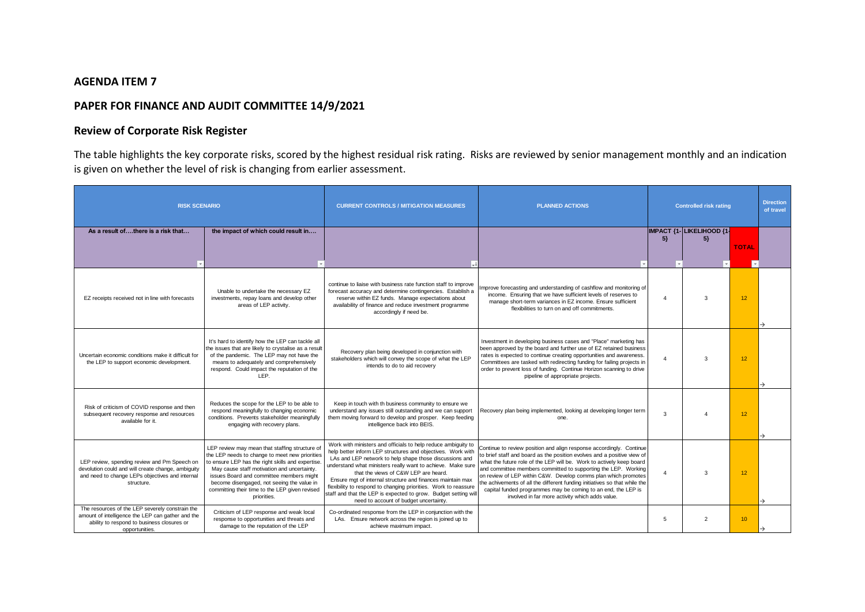## **AGENDA ITEM 7**

## **PAPER FOR FINANCE AND AUDIT COMMITTEE 14/9/2021**

## **Review of Corporate Risk Register**

The table highlights the key corporate risks, scored by the highest residual risk rating. Risks are reviewed by senior management monthly and an indication is given on whether the level of risk is changing from earlier assessment.

| <b>RISK SCENARIO</b>                                                                                                                                                 |                                                                                                                                                                                                                                                                                                                                                                 | <b>CURRENT CONTROLS / MITIGATION MEASURES</b>                                                                                                                                                                                                                                                                                                                                                                                                                                                                                                | <b>PLANNED ACTIONS</b>                                                                                                                                                                                                                                                                                                                                                                                                                                                                                                                                        | <b>Controlled risk rating</b> |                                    |                  | <b>Direction</b><br>of travel |
|----------------------------------------------------------------------------------------------------------------------------------------------------------------------|-----------------------------------------------------------------------------------------------------------------------------------------------------------------------------------------------------------------------------------------------------------------------------------------------------------------------------------------------------------------|----------------------------------------------------------------------------------------------------------------------------------------------------------------------------------------------------------------------------------------------------------------------------------------------------------------------------------------------------------------------------------------------------------------------------------------------------------------------------------------------------------------------------------------------|---------------------------------------------------------------------------------------------------------------------------------------------------------------------------------------------------------------------------------------------------------------------------------------------------------------------------------------------------------------------------------------------------------------------------------------------------------------------------------------------------------------------------------------------------------------|-------------------------------|------------------------------------|------------------|-------------------------------|
| As a result ofthere is a risk that                                                                                                                                   | the impact of which could result in                                                                                                                                                                                                                                                                                                                             |                                                                                                                                                                                                                                                                                                                                                                                                                                                                                                                                              |                                                                                                                                                                                                                                                                                                                                                                                                                                                                                                                                                               | $5\}$                         | IMPACT {1- LIKELIHOOD {1-<br>$5\}$ | <b>TOTAL</b>     |                               |
| EZ receipts received not in line with forecasts                                                                                                                      | Unable to undertake the necessary EZ<br>investments, repay loans and develop other<br>areas of LEP activity.                                                                                                                                                                                                                                                    | continue to liaise with business rate function staff to improve<br>forecast accuracy and determine contingencies. Establish a<br>reserve within EZ funds. Manage expectations about<br>availability of finance and reduce investment programme<br>accordingly if need be.                                                                                                                                                                                                                                                                    | Improve forecasting and understanding of cashflow and monitoring of<br>income. Ensuring that we have sufficient levels of reserves to<br>manage short-term variances in EZ income. Ensure sufficient<br>flexibilities to turn on and off commitments.                                                                                                                                                                                                                                                                                                         | $\overline{A}$                | 3                                  | 12 <sup>°</sup>  |                               |
| Uncertain economic conditions make it difficult for<br>the LEP to support economic development.                                                                      | It's hard to identify how the LEP can tackle all<br>the issues that are likely to crystalise as a result<br>of the pandemic. The LEP may not have the<br>means to adequately and comprehensively<br>respond. Could impact the reputation of the<br>LEP.                                                                                                         | Recovery plan being developed in conjunction with<br>stakeholders which will convey the scope of what the LEP<br>intends to do to aid recovery                                                                                                                                                                                                                                                                                                                                                                                               | Investment in developing business cases and "Place" marketing has<br>been approved by the board and further use of EZ retained business<br>rates is expected to continue creating opportunities and awareness.<br>Committees are tasked with redirecting funding for failing projects in<br>order to prevent loss of funding. Continue Horizon scanning to drive<br>pipeline of appropriate projects.                                                                                                                                                         | $\overline{A}$                | 3                                  | 12               |                               |
| Risk of criticism of COVID response and then<br>subsequent recovery response and resources<br>available for it.                                                      | Reduces the scope for the LEP to be able to<br>respond meaningfully to changing economic<br>conditions. Prevents stakeholder meaningfully<br>engaging with recovery plans.                                                                                                                                                                                      | Keep in touch with th business community to ensure we<br>understand any issues still outstanding and we can support<br>them moving forward to develop and prosper. Keep feeding<br>intelligence back into BEIS.                                                                                                                                                                                                                                                                                                                              | Recovery plan being implemented, looking at developing longer term<br>one.                                                                                                                                                                                                                                                                                                                                                                                                                                                                                    | $\mathcal{R}$                 |                                    | 12               |                               |
| LEP review, spending review and Pm Speech on<br>devolution could and will create change, ambiguity<br>and need to change LEPs objectives and internal<br>structure.  | LEP review may mean that staffing structure of<br>the LEP needs to change to meet new priorities<br>to ensure LEP has the right skills and expertise.<br>May cause staff motivation and uncertainty.<br>issues Board and committee members might<br>become disengaged, not seeing the value in<br>committing their time to the LEP given revised<br>priorities. | Work with ministers and officials to help reduce ambiguity to<br>help better inform LEP structures and objectives. Work with<br>LAs and LEP network to help shape those discussions and<br>understand what ministers really want to achieve. Make sure<br>that the views of C&W LEP are heard.<br>Ensure mgt of internal structure and finances maintain max<br>flexibility to respond to changing priorities. Work to reassure<br>staff and that the LEP is expected to grow. Budget setting will<br>need to account of budget uncertainty. | Continue to review position and align response accordingly. Continue<br>to brief staff and board as the position evolves and a positive view of<br>what the future role of the LEP will be. Work to actively keep board<br>and committee members committed to supporting the LEP. Working<br>on review of LEP within C&W. Develop comms plan which promotes<br>the achivements of all the different funding initiatives so that while the<br>capital funded programmes may be coming to an end, the LEP is<br>involved in far more activity which adds value. | $\overline{A}$                | 3                                  | 12 <sup>°</sup>  | →                             |
| The resources of the LEP severely constrain the<br>amount of intelligence the LEP can gather and the<br>ability to respond to business closures or<br>opportunities. | Criticism of LEP response and weak local<br>response to opportunities and threats and<br>damage to the reputation of the LEP                                                                                                                                                                                                                                    | Co-ordinated response from the LEP in conjunction with the<br>LAs. Ensure network across the region is joined up to<br>achieve maximum impact.                                                                                                                                                                                                                                                                                                                                                                                               |                                                                                                                                                                                                                                                                                                                                                                                                                                                                                                                                                               | 5                             | $\overline{2}$                     | 10 <sup>10</sup> |                               |